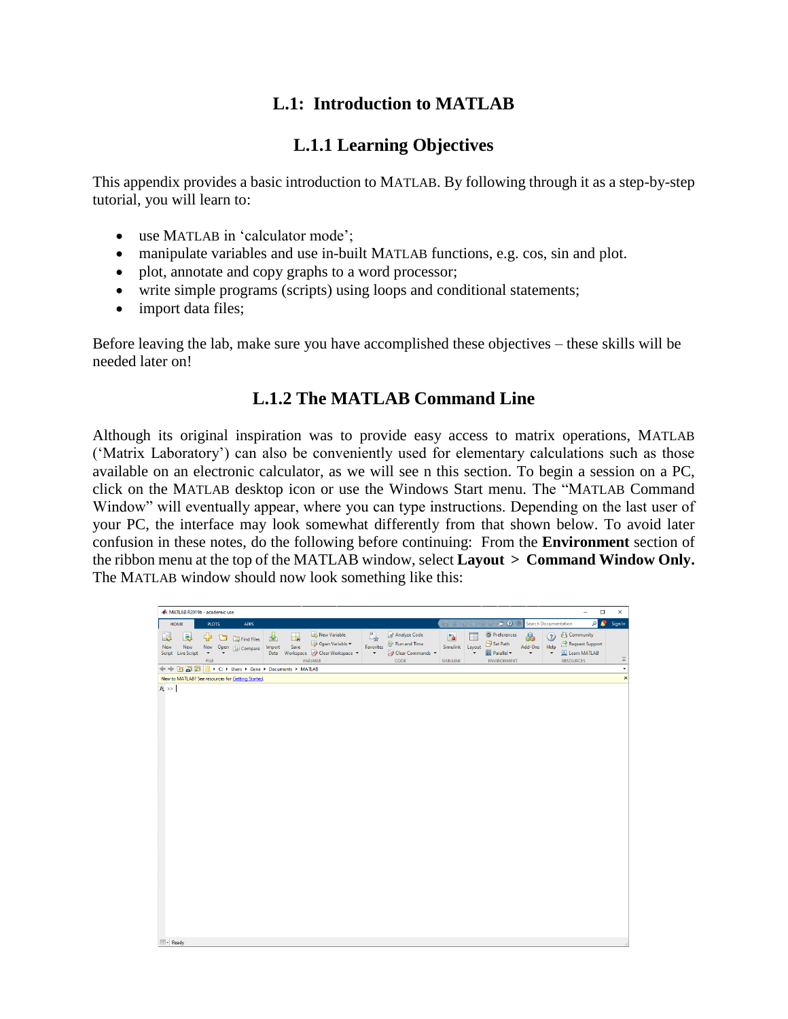# **L.1: Introduction to MATLAB**

# **L.1.1 Learning Objectives**

This appendix provides a basic introduction to MATLAB. By following through it as a step-by-step tutorial, you will learn to:

- use MATLAB in 'calculator mode';
- manipulate variables and use in-built MATLAB functions, e.g. cos, sin and plot.
- plot, annotate and copy graphs to a word processor;
- write simple programs (scripts) using loops and conditional statements;
- import data files;

Before leaving the lab, make sure you have accomplished these objectives – these skills will be needed later on!

# **L.1.2 The MATLAB Command Line**

Although its original inspiration was to provide easy access to matrix operations, MATLAB ('Matrix Laboratory') can also be conveniently used for elementary calculations such as those available on an electronic calculator, as we will see n this section. To begin a session on a PC, click on the MATLAB desktop icon or use the Windows Start menu. The "MATLAB Command Window" will eventually appear, where you can type instructions. Depending on the last user of your PC, the interface may look somewhat differently from that shown below. To avoid later confusion in these notes, do the following before continuing: From the **Environment** section of the ribbon menu at the top of the MATLAB window, select **Layout > Command Window Only.**  The MATLAB window should now look something like this:

| MATLAB R2019b - academic use                      |                         |   |                                        |                     |            |                                                                          |                                             |                                                        |                                  |                             |                                                                                                                                        |                                                      |                       | $\Box$<br>$\overline{\phantom{0}}$                                            | $\times$                |
|---------------------------------------------------|-------------------------|---|----------------------------------------|---------------------|------------|--------------------------------------------------------------------------|---------------------------------------------|--------------------------------------------------------|----------------------------------|-----------------------------|----------------------------------------------------------------------------------------------------------------------------------------|------------------------------------------------------|-----------------------|-------------------------------------------------------------------------------|-------------------------|
| HOME                                              | <b>PLOTS</b>            |   | APPS                                   |                     |            |                                                                          |                                             |                                                        | 后 4                              |                             | <b>D Ø</b> Search Documentation                                                                                                        |                                                      |                       | م                                                                             | D<br>Sign In            |
| l.<br>la,<br>New<br>New<br>Script Live Script     | ⊕<br><b>New</b><br>FILE | ◘ | <b>EQ</b> Find Files<br>Open Compare   | 飞<br>Import<br>Data | H.<br>Save | New Variable<br>Open Variable<br>Workspace 2 Clear Workspace<br>VARIABLE | $\sum_{i=1}^{N}$<br>Favorites<br>$\check{}$ | Analyze Code<br>Run and Time<br>Clear Commands<br>CODE | 面<br>Simulink<br><b>SIMULINK</b> | Ħ<br>Layout<br>$\checkmark$ | <sup><sup>O</sup> Preferences</sup><br>$\frac{\rho_{\rm{max}}}{\rho_{\rm{max}}}$ Set Path<br><b>III</b> Parallel<br><b>ENVIRONMENT</b> | $\circledast$<br>Add-Ons<br>$\overline{\phantom{0}}$ | $\Omega$<br>Help<br>۰ | <sup>2</sup> Community<br>Request Support<br>Learn MATLAB<br><b>RESOURCES</b> | $\overline{\mathbb{A}}$ |
| 4 十 四 2 2                                         |                         |   | C: > Users > Gene > Documents > MATLAB |                     |            |                                                                          |                                             |                                                        |                                  |                             |                                                                                                                                        |                                                      |                       |                                                                               | ٠                       |
| New to MATLAB? See resources for Getting Started. |                         |   |                                        |                     |            |                                                                          |                                             |                                                        |                                  |                             |                                                                                                                                        |                                                      |                       |                                                                               | $\times$                |
| $fx \gg$<br><b>IIII</b> . Loss are                |                         |   |                                        |                     |            |                                                                          |                                             |                                                        |                                  |                             |                                                                                                                                        |                                                      |                       |                                                                               |                         |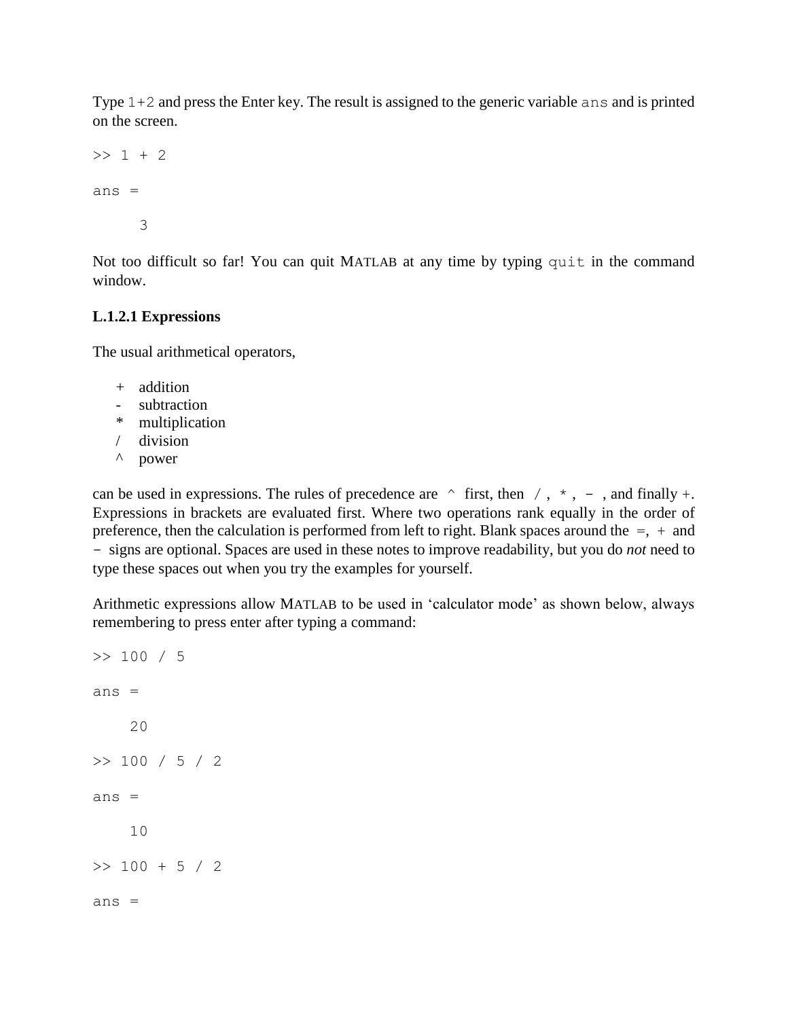Type 1+2 and press the Enter key. The result is assigned to the generic variable ans and is printed on the screen.

```
>> 1 + 2ans = 3
```
Not too difficult so far! You can quit MATLAB at any time by typing quit in the command window.

## **L.1.2.1 Expressions**

The usual arithmetical operators,

- + addition
- subtraction
- \* multiplication
- / division
- ^ power

can be used in expressions. The rules of precedence are  $\land$  first, then  $/$ ,  $\star$ , -, and finally +. Expressions in brackets are evaluated first. Where two operations rank equally in the order of preference, then the calculation is performed from left to right. Blank spaces around the  $=$ ,  $+$  and - signs are optional. Spaces are used in these notes to improve readability, but you do *not* need to type these spaces out when you try the examples for yourself.

Arithmetic expressions allow MATLAB to be used in 'calculator mode' as shown below, always remembering to press enter after typing a command:

```
>> 100 / 5
ans = 20
>> 100 / 5 / 2
ans = 10
>> 100 + 5 / 2ans =
```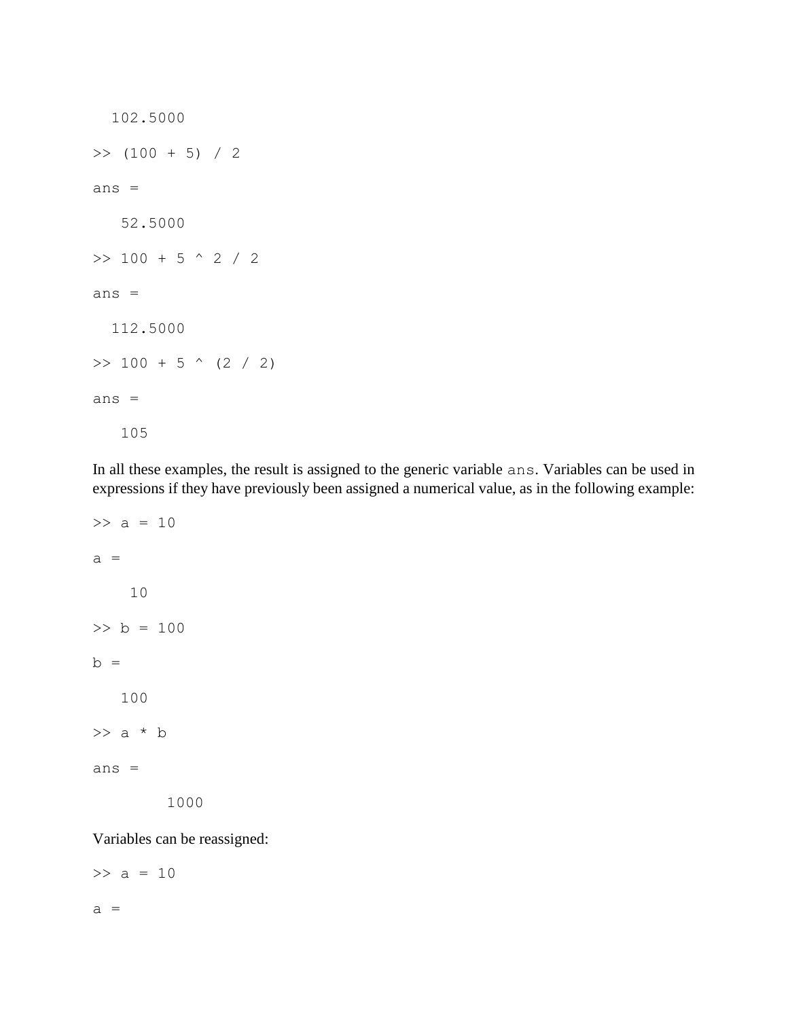```
 102.5000
>> (100 + 5) / 2
ans =
    52.5000
>> 100 + 5 ^ 2 / 2
ans =
   112.5000
\gg 100 + 5 \land (2 / 2)
ans =
    105
```
In all these examples, the result is assigned to the generic variable ans. Variables can be used in expressions if they have previously been assigned a numerical value, as in the following example:

```
>> a = 10a = 10
>> b = 100
b = 100
\gg a * b
ans =
         1000
```
Variables can be reassigned:

 $>> a = 10$  $a =$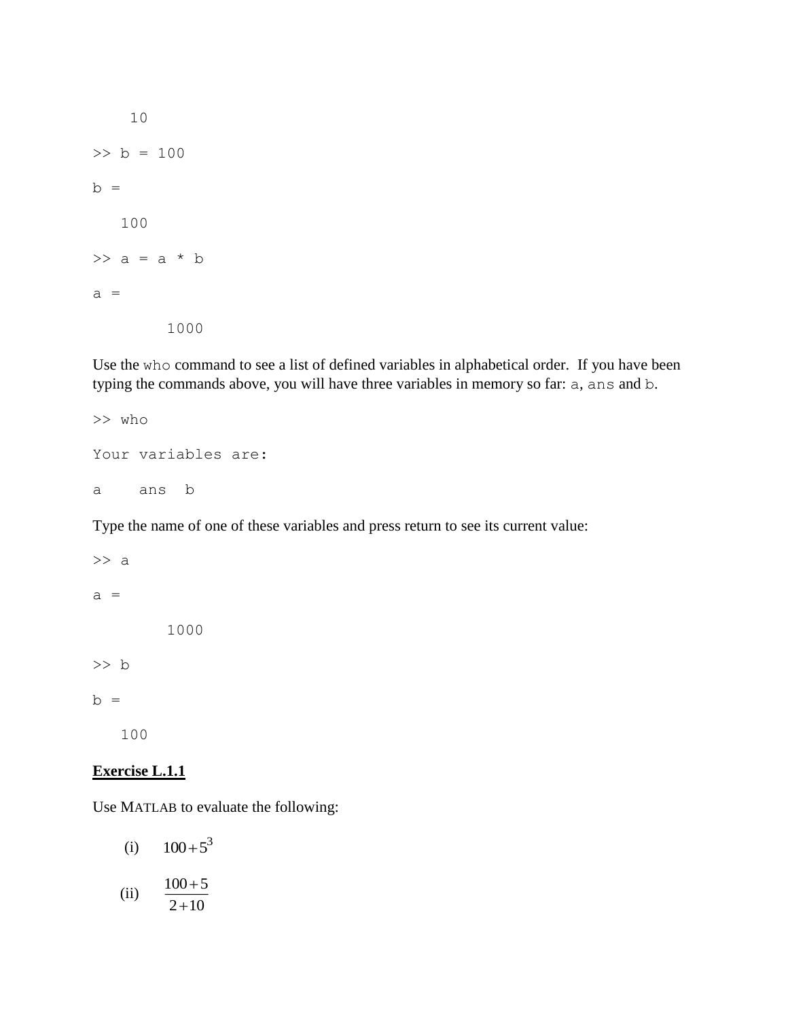10 >> b = 100  $b =$  100  $\gg$  a = a \* b  $a =$ 1000

Use the who command to see a list of defined variables in alphabetical order. If you have been typing the commands above, you will have three variables in memory so far: a, ans and b.

```
>> who
Your variables are:
a ans b
```
Type the name of one of these variables and press return to see its current value:

```
\gg a
a = 1000
>> b
b = 100
```
#### **Exercise L.1.1**

Use MATLAB to evaluate the following:

- (i)  $100 + 5^3$
- (ii)  $100 + 5$ 2+10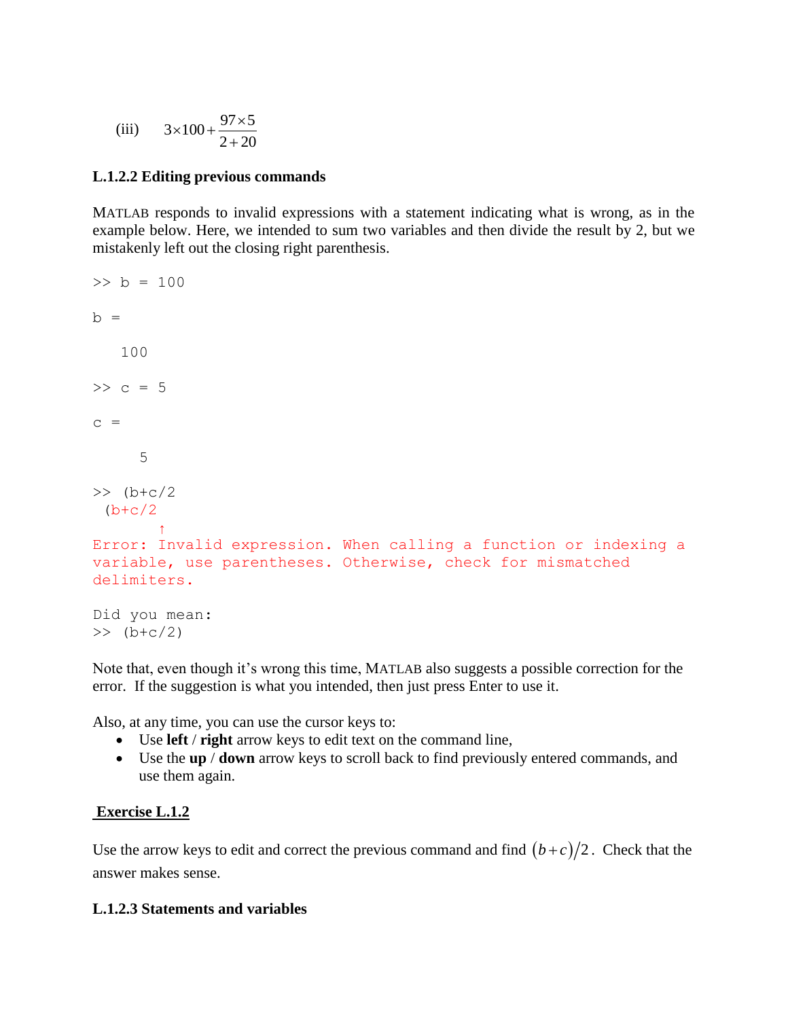(iii) 
$$
3 \times 100 + \frac{97 \times 5}{2 + 20}
$$

## **L.1.2.2 Editing previous commands**

MATLAB responds to invalid expressions with a statement indicating what is wrong, as in the example below. Here, we intended to sum two variables and then divide the result by 2, but we mistakenly left out the closing right parenthesis.

```
> b = 100h = 100
>> c = 5c = 5
\gg (b+c/2)
 (b+c/2)\uparrow \uparrowError: Invalid expression. When calling a function or indexing a 
variable, use parentheses. Otherwise, check for mismatched 
delimiters.
Did you mean:
\gg (b+c/2)
```
Note that, even though it's wrong this time, MATLAB also suggests a possible correction for the error. If the suggestion is what you intended, then just press Enter to use it.

Also, at any time, you can use the cursor keys to:

- Use **left** / **right** arrow keys to edit text on the command line,
- Use the **up** / **down** arrow keys to scroll back to find previously entered commands, and use them again.

## **Exercise L.1.2**

Use the arrow keys to edit and correct the previous command and find  $(b+c)/2$ . Check that the answer makes sense.

## **L.1.2.3 Statements and variables**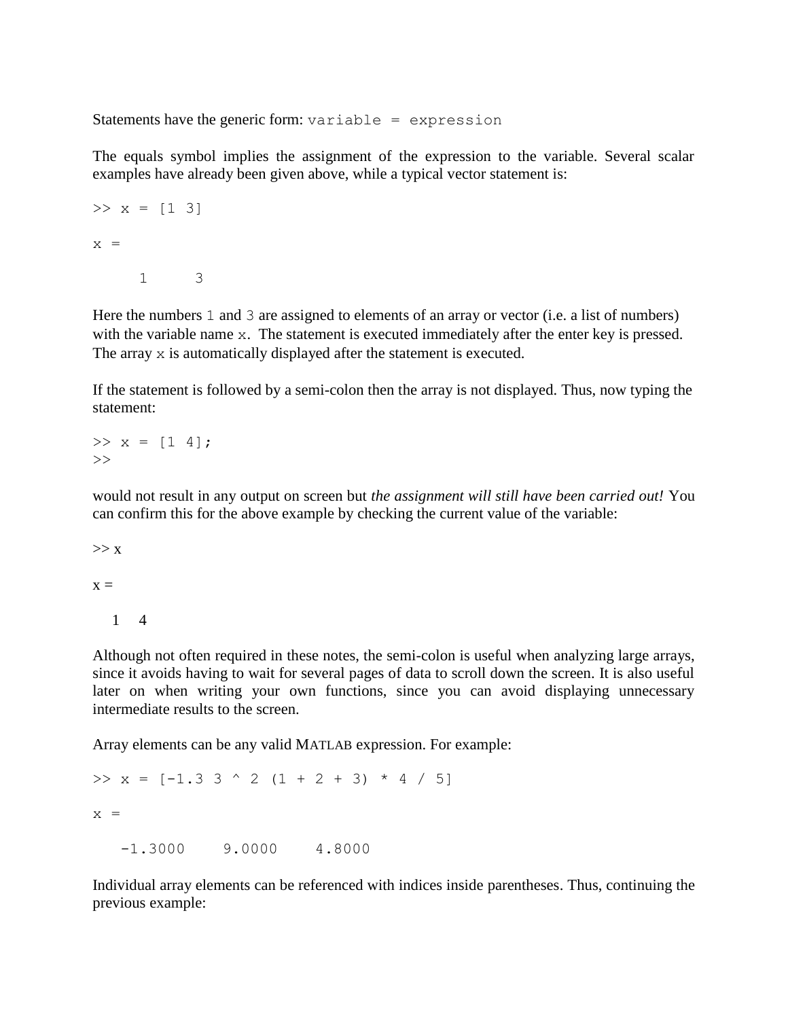Statements have the generic form:  $variable = expression$ 

The equals symbol implies the assignment of the expression to the variable. Several scalar examples have already been given above, while a typical vector statement is:

>> 
$$
x = [1 \ 3]
$$
  
 $x =$   
 $1 = 3$ 

Here the numbers 1 and 3 are assigned to elements of an array or vector (i.e. a list of numbers) with the variable name x. The statement is executed immediately after the enter key is pressed. The array x is automatically displayed after the statement is executed.

If the statement is followed by a semi-colon then the array is not displayed. Thus, now typing the statement:

 $>> x = [1 4];$  $\gt$ 

would not result in any output on screen but *the assignment will still have been carried out!* You can confirm this for the above example by checking the current value of the variable:

 $>> x$ 

 $x =$ 

1 4

Although not often required in these notes, the semi-colon is useful when analyzing large arrays, since it avoids having to wait for several pages of data to scroll down the screen. It is also useful later on when writing your own functions, since you can avoid displaying unnecessary intermediate results to the screen.

Array elements can be any valid MATLAB expression. For example:

```
\gg x = [-1.3 3 ^ 2 (1 + 2 + 3) * 4 / 5]
x = -1.3000 9.0000 4.8000
```
Individual array elements can be referenced with indices inside parentheses. Thus, continuing the previous example: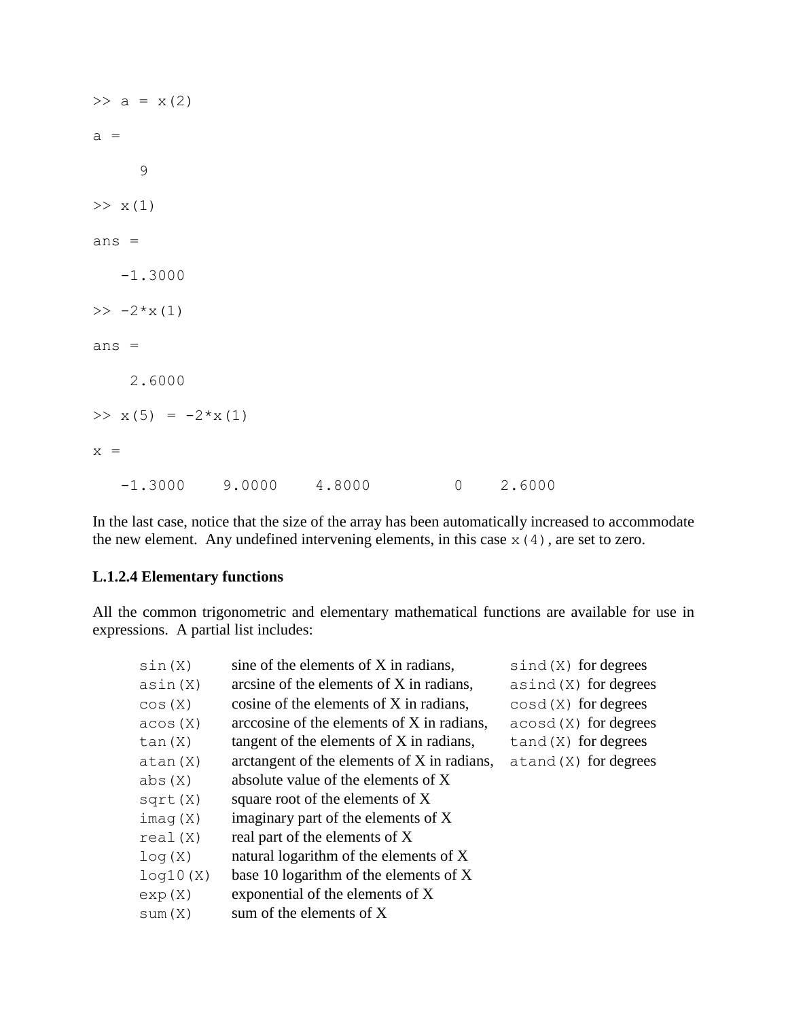| $\gg$ a = x(2)               |  |               |
|------------------------------|--|---------------|
| $a =$                        |  |               |
| 9                            |  |               |
| >> x(1)                      |  |               |
| $ans =$                      |  |               |
| $-1.3000$                    |  |               |
| $\gg -2*x(1)$                |  |               |
| ans $=$                      |  |               |
| 2.6000                       |  |               |
| $\Rightarrow$ x(5) = -2*x(1) |  |               |
| $x =$                        |  |               |
| $-1.3000$ 9.0000 4.8000      |  | $0 \t 2.6000$ |

In the last case, notice that the size of the array has been automatically increased to accommodate the new element. Any undefined intervening elements, in this case  $x(4)$ , are set to zero.

## **L.1.2.4 Elementary functions**

All the common trigonometric and elementary mathematical functions are available for use in expressions. A partial list includes:

| sin(X)   | sine of the elements of X in radians,       | $\sin d(X)$ for degrees   |
|----------|---------------------------------------------|---------------------------|
| asin(X)  | arcsine of the elements of X in radians,    | $asind(X)$ for degrees    |
| cos(X)   | cosine of the elements of X in radians,     | $\cos d(X)$ for degrees   |
| acos(X)  | arccosine of the elements of X in radians,  | $acosd(X)$ for degrees    |
| tan(X)   | tangent of the elements of X in radians,    | $t$ and $(X)$ for degrees |
| atan(X)  | arctangent of the elements of X in radians, | $atand(X)$ for degrees    |
| abs(X)   | absolute value of the elements of X         |                           |
| sqrt(X)  | square root of the elements of X            |                           |
| imag(X)  | imaginary part of the elements of X         |                           |
| real(X)  | real part of the elements of X              |                           |
| log(X)   | natural logarithm of the elements of X      |                           |
| log10(X) | base 10 logarithm of the elements of X      |                           |
| exp(X)   | exponential of the elements of X            |                           |
| sum(X)   | sum of the elements of X                    |                           |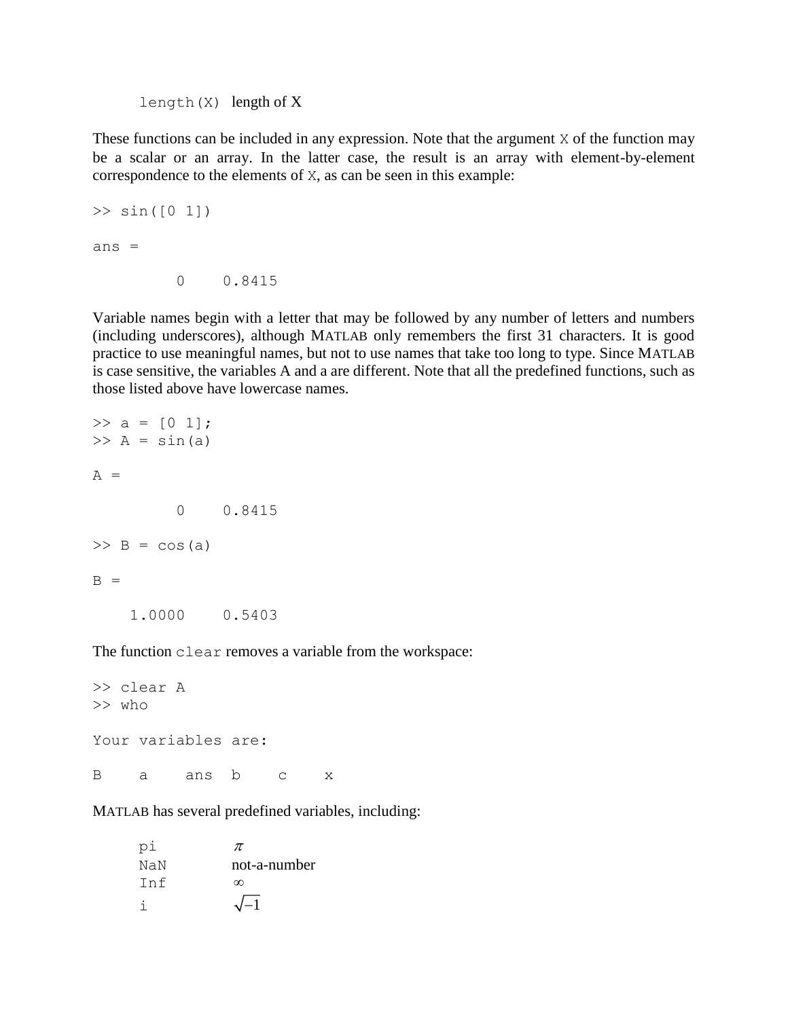length $(X)$  length of X

These functions can be included in any expression. Note that the argument X of the function may be a scalar or an array. In the latter case, the result is an array with element-by-element correspondence to the elements of X, as can be seen in this example:

```
>> sin([0 1])ans = 0 0.8415
```
Variable names begin with a letter that may be followed by any number of letters and numbers (including underscores), although MATLAB only remembers the first 31 characters. It is good practice to use meaningful names, but not to use names that take too long to type. Since MATLAB is case sensitive, the variables A and a are different. Note that all the predefined functions, such as those listed above have lowercase names.

```
\gg a = [0 1];
\gg A = sin(a)
A = 0 0.8415
\gg B = cos(a)
B = 1.0000 0.5403
```
The function clear removes a variable from the workspace:

```
>> clear A
>> who
Your variables are:
B a ans b c x
```
MATLAB has several predefined variables, including:

| рi  | π            |
|-----|--------------|
| NaN | not-a-number |
| Tnf | $\infty$     |
|     | $\sqrt{-1}$  |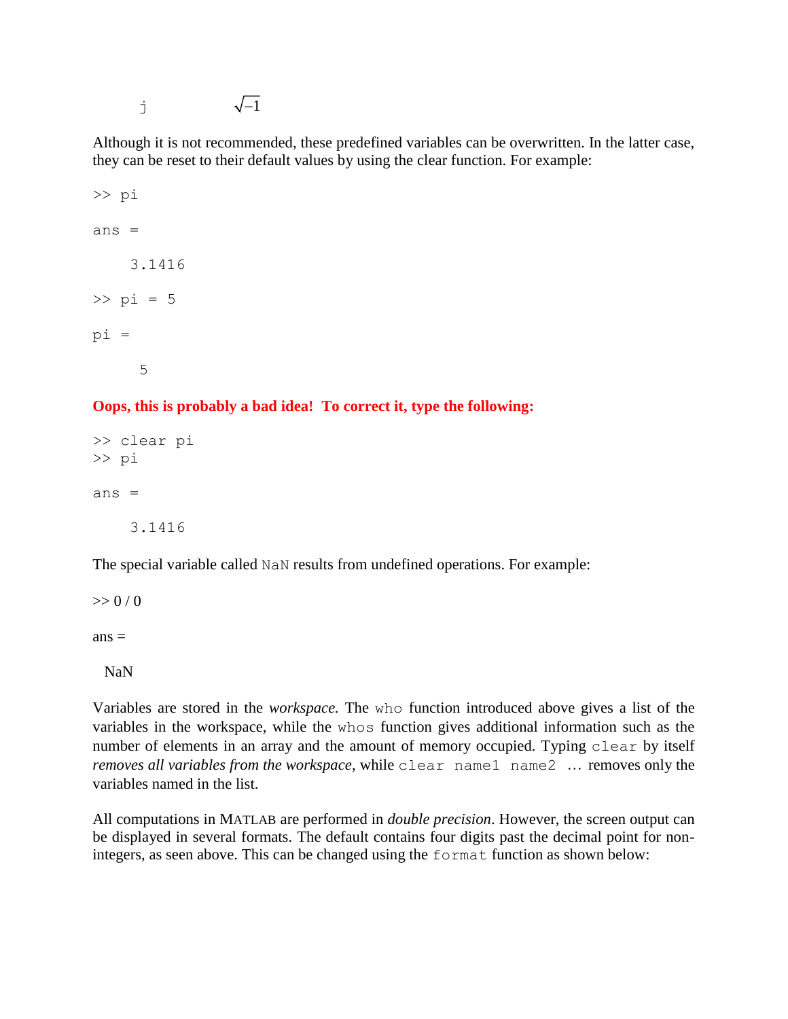$\sqrt{-1}$ 

Although it is not recommended, these predefined variables can be overwritten. In the latter case, they can be reset to their default values by using the clear function. For example:

```
>> pi
ans = 3.1416
>> pi = 5
pi =
      5
```
## **Oops, this is probably a bad idea! To correct it, type the following:**

>> clear pi >> pi ans  $=$ 3.1416

The special variable called NaN results from undefined operations. For example:

 $>> 0/0$ 

 $ans =$ 

NaN

Variables are stored in the *workspace.* The who function introduced above gives a list of the variables in the workspace, while the whos function gives additional information such as the number of elements in an array and the amount of memory occupied. Typing clear by itself *removes all variables from the workspace*, while clear name1 name2 ... removes only the variables named in the list.

All computations in MATLAB are performed in *double precision*. However, the screen output can be displayed in several formats. The default contains four digits past the decimal point for nonintegers, as seen above. This can be changed using the format function as shown below: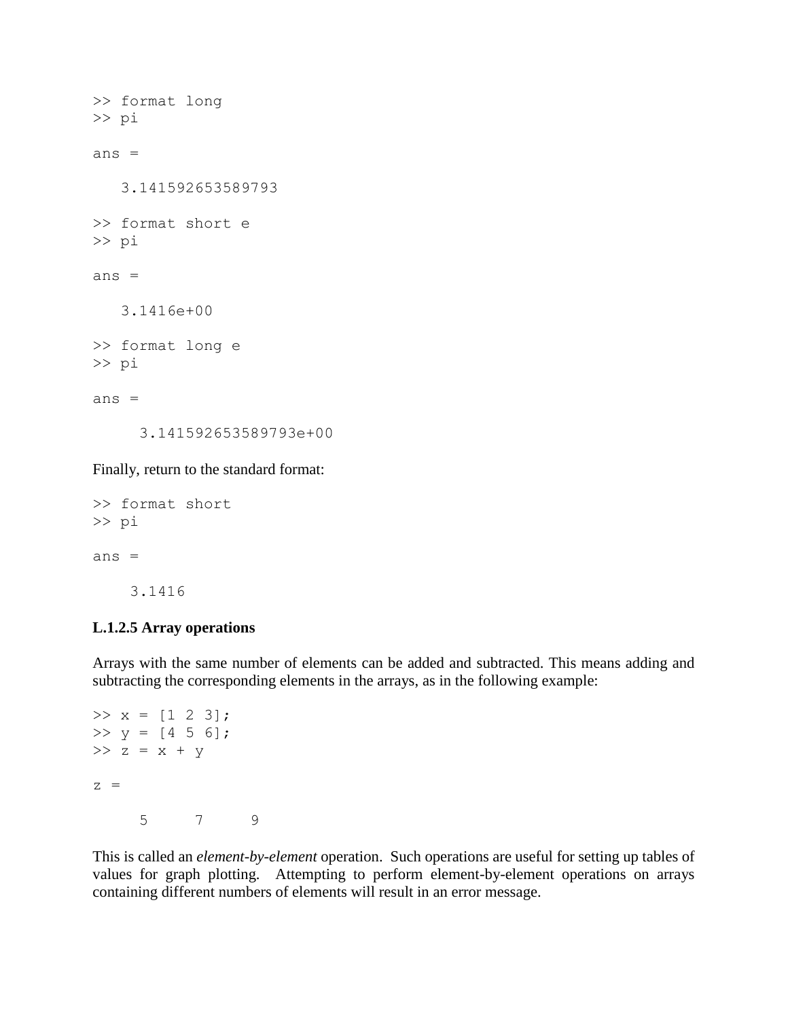>> format long >> pi ans  $=$  3.141592653589793 >> format short e >> pi ans  $=$  3.1416e+00 >> format long e >> pi ans  $=$ 3.141592653589793e+00

Finally, return to the standard format:

```
>> format short
>> pi
ans = 3.1416
```
## **L.1.2.5 Array operations**

Arrays with the same number of elements can be added and subtracted. This means adding and subtracting the corresponding elements in the arrays, as in the following example:

```
>> x = [1 2 3];>> y = [4 \ 5 \ 6];>> z = x + yz = 5 7 9
```
This is called an *element-by-element* operation. Such operations are useful for setting up tables of values for graph plotting. Attempting to perform element-by-element operations on arrays containing different numbers of elements will result in an error message.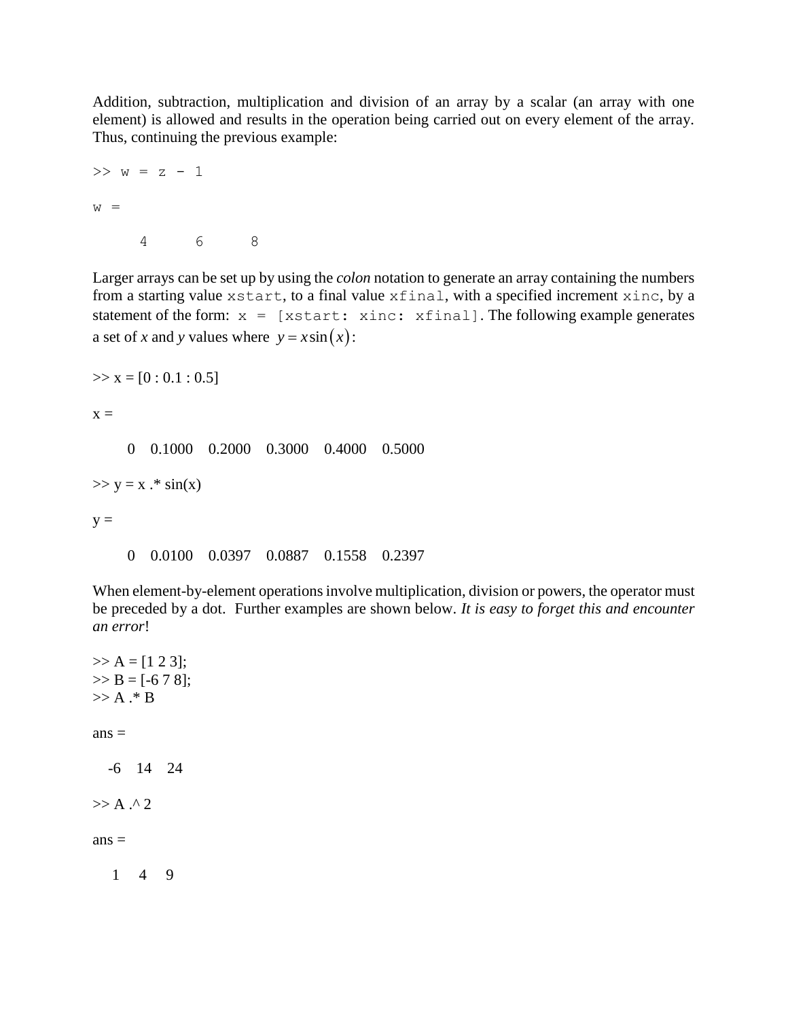Addition, subtraction, multiplication and division of an array by a scalar (an array with one element) is allowed and results in the operation being carried out on every element of the array. Thus, continuing the previous example:

```
>> w = z - 1w = 4 6 8
```
Larger arrays can be set up by using the *colon* notation to generate an array containing the numbers from a starting value xstart, to a final value xfinal, with a specified increment xinc, by a statement of the form:  $x =$  [xstart: xinc: xfinal]. The following example generates a set of *x* and *y* values where  $y = x \sin(x)$ :

 $\gg$  x = [0 : 0.1 : 0.5]

 $x =$ 

0 0.1000 0.2000 0.3000 0.4000 0.5000

 $>> y = x$ .\*  $sin(x)$ 

 $y =$ 

0 0.0100 0.0397 0.0887 0.1558 0.2397

When element-by-element operations involve multiplication, division or powers, the operator must be preceded by a dot. Further examples are shown below. *It is easy to forget this and encounter an error*!

```
>> A = [1 2 3];>> B = [-6 7 8];>> A.* Bans = -6 14 24
>> A . 2ans = 1 4 9
```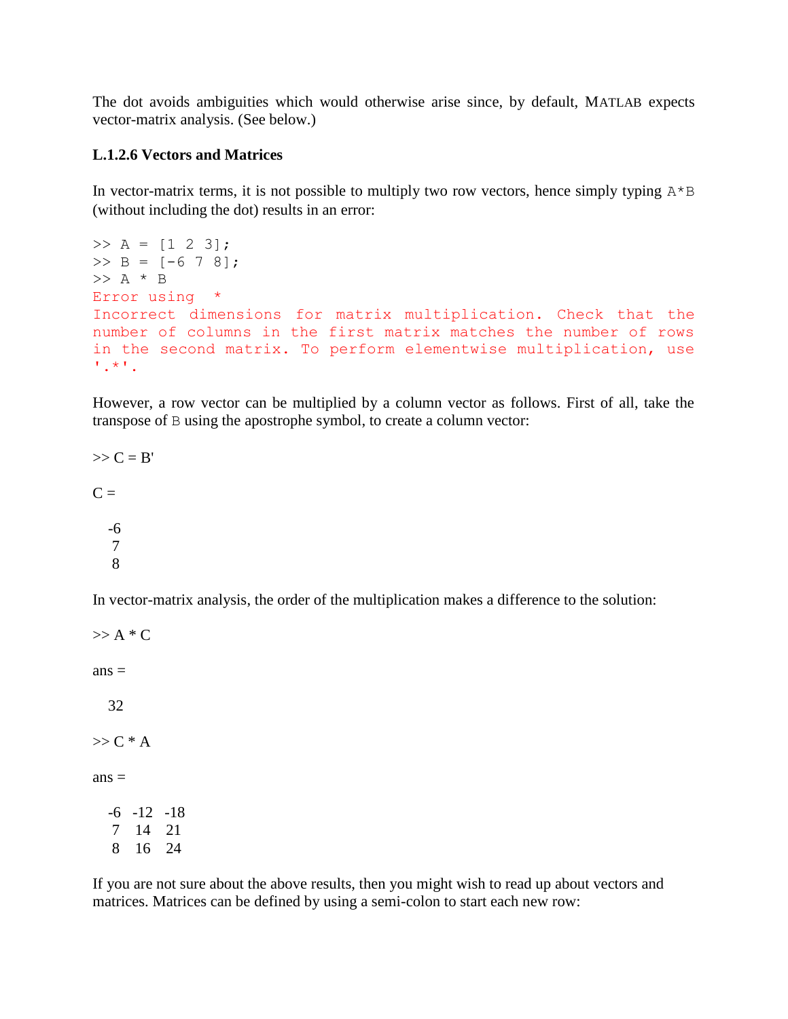The dot avoids ambiguities which would otherwise arise since, by default, MATLAB expects vector-matrix analysis. (See below.)

#### **L.1.2.6 Vectors and Matrices**

In vector-matrix terms, it is not possible to multiply two row vectors, hence simply typing  $A^*B$ (without including the dot) results in an error:

```
>> A = [1 2 3];>> B = [-6 7 8];>> A * B
Error using * 
Incorrect dimensions for matrix multiplication. Check that the 
number of columns in the first matrix matches the number of rows 
in the second matrix. To perform elementwise multiplication, use 
'.*'.
```
However, a row vector can be multiplied by a column vector as follows. First of all, take the transpose of B using the apostrophe symbol, to create a column vector:

 $\gg$  C = B'  $C =$  -6 7 8

In vector-matrix analysis, the order of the multiplication makes a difference to the solution:

 $\gg$  A  $*$  C  $ans =$  32  $>> C*A$  $ans =$  $-6$   $-12$   $-18$  7 14 21 8 16 24

If you are not sure about the above results, then you might wish to read up about vectors and matrices. Matrices can be defined by using a semi-colon to start each new row: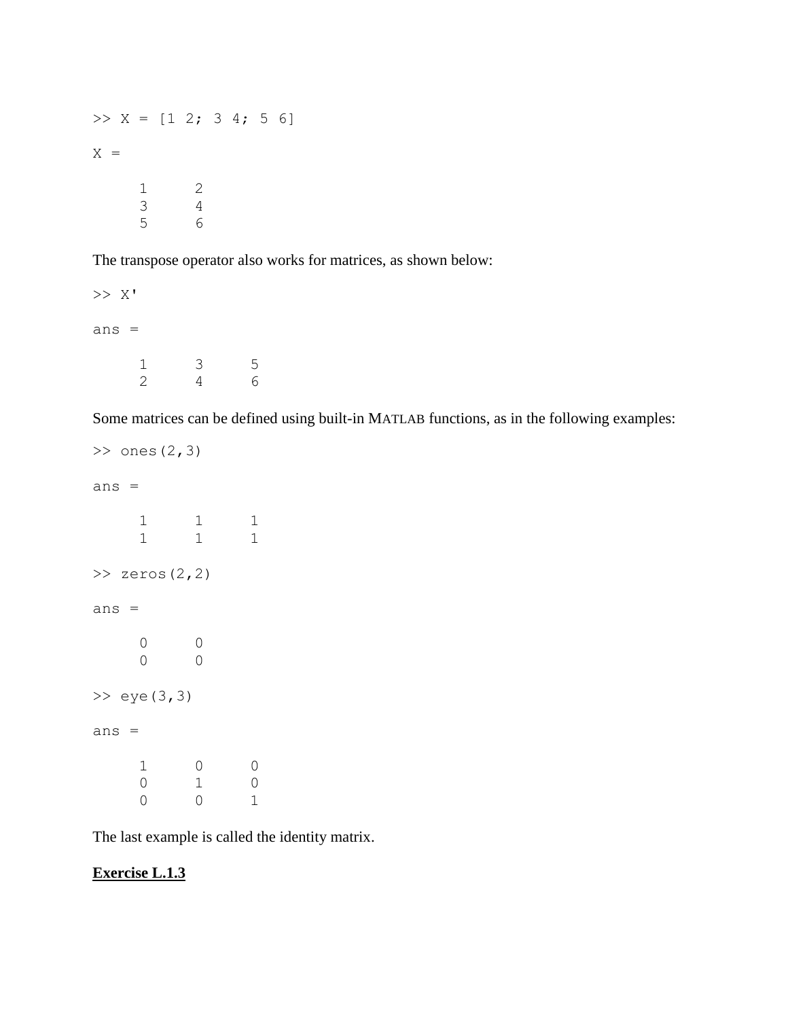$>> X = [1 \ 2; \ 3 \ 4; \ 5 \ 6]$  $X =$  1 2 3 4 5 6

The transpose operator also works for matrices, as shown below:

>> X' ans =  $\begin{array}{cccc} 1 & 3 & 5 \\ 2 & 4 & 6 \end{array}$ 4

Some matrices can be defined using built-in MATLAB functions, as in the following examples:

```
>> ones (2, 3)ans =
    1 1 1
 1 1 1
\gg zeros(2,2)
ans = 0 0
    0 0
\gg eye(3,3)
ans = 1 0 0
 0 1 0
 0 0 1
```
The last example is called the identity matrix.

# **Exercise L.1.3**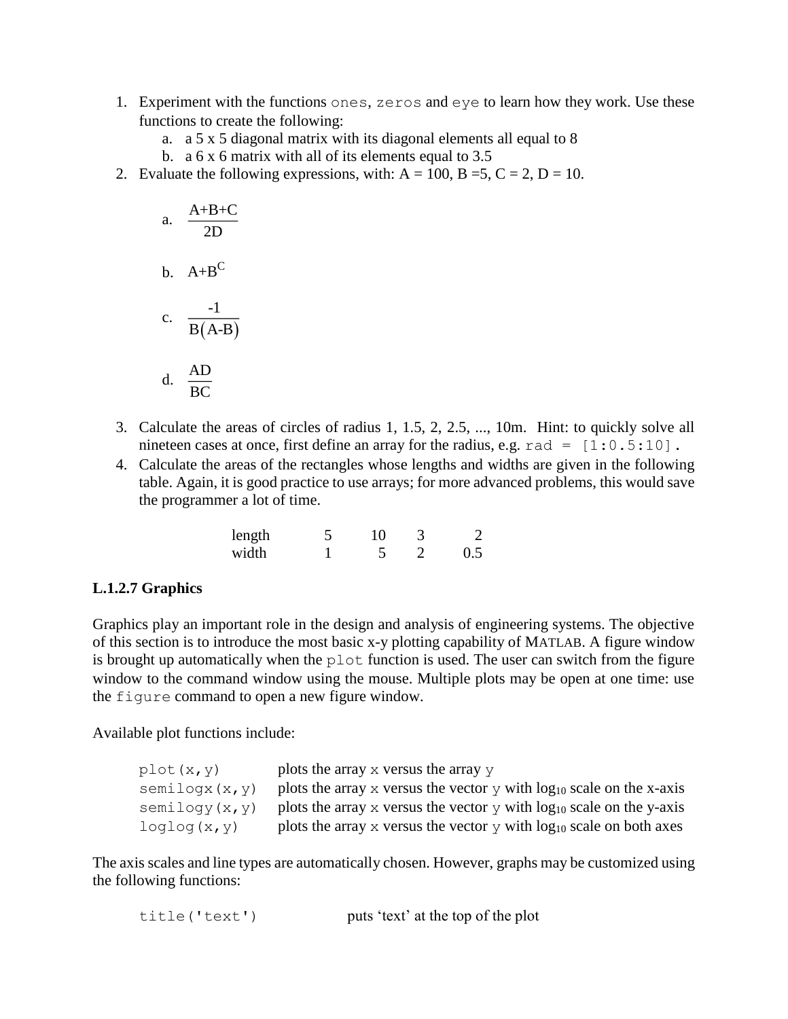- 1. Experiment with the functions ones, zeros and eye to learn how they work. Use these functions to create the following:
	- a. a 5 x 5 diagonal matrix with its diagonal elements all equal to 8
	- b. a  $6 \times 6$  matrix with all of its elements equal to 3.5
- 2. Evaluate the following expressions, with:  $A = 100$ ,  $B = 5$ ,  $C = 2$ ,  $D = 10$ .

a. 
$$
\frac{A+B+C}{2D}
$$
  
b. 
$$
A+B^{C}
$$
  
c. 
$$
\frac{-1}{B(A-B)}
$$
  
d. 
$$
\frac{AD}{BC}
$$

- 3. Calculate the areas of circles of radius 1, 1.5, 2, 2.5, ..., 10m. Hint: to quickly solve all nineteen cases at once, first define an array for the radius, e.g.  $rad = [1:0.5:10]$ .
- 4. Calculate the areas of the rectangles whose lengths and widths are given in the following table. Again, it is good practice to use arrays; for more advanced problems, this would save the programmer a lot of time.

| length | 10 |     |
|--------|----|-----|
| width  |    | 0.5 |

#### **L.1.2.7 Graphics**

Graphics play an important role in the design and analysis of engineering systems. The objective of this section is to introduce the most basic x-y plotting capability of MATLAB. A figure window is brought up automatically when the plot function is used. The user can switch from the figure window to the command window using the mouse. Multiple plots may be open at one time: use the figure command to open a new figure window.

Available plot functions include:

| plot (x, y)    | plots the array $\times$ versus the array $\times$                                |
|----------------|-----------------------------------------------------------------------------------|
| semilogx(x, y) | plots the array x versus the vector $\gamma$ with $\log_{10}$ scale on the x-axis |
| semilogy(x, y) | plots the array x versus the vector $\gamma$ with $\log_{10}$ scale on the y-axis |
| loglog(x, y)   | plots the array x versus the vector $\gamma$ with $\log_{10}$ scale on both axes  |

The axis scales and line types are automatically chosen. However, graphs may be customized using the following functions:

| title('text') |  |  | puts 'text' at the top of the plot |  |  |  |  |
|---------------|--|--|------------------------------------|--|--|--|--|
|---------------|--|--|------------------------------------|--|--|--|--|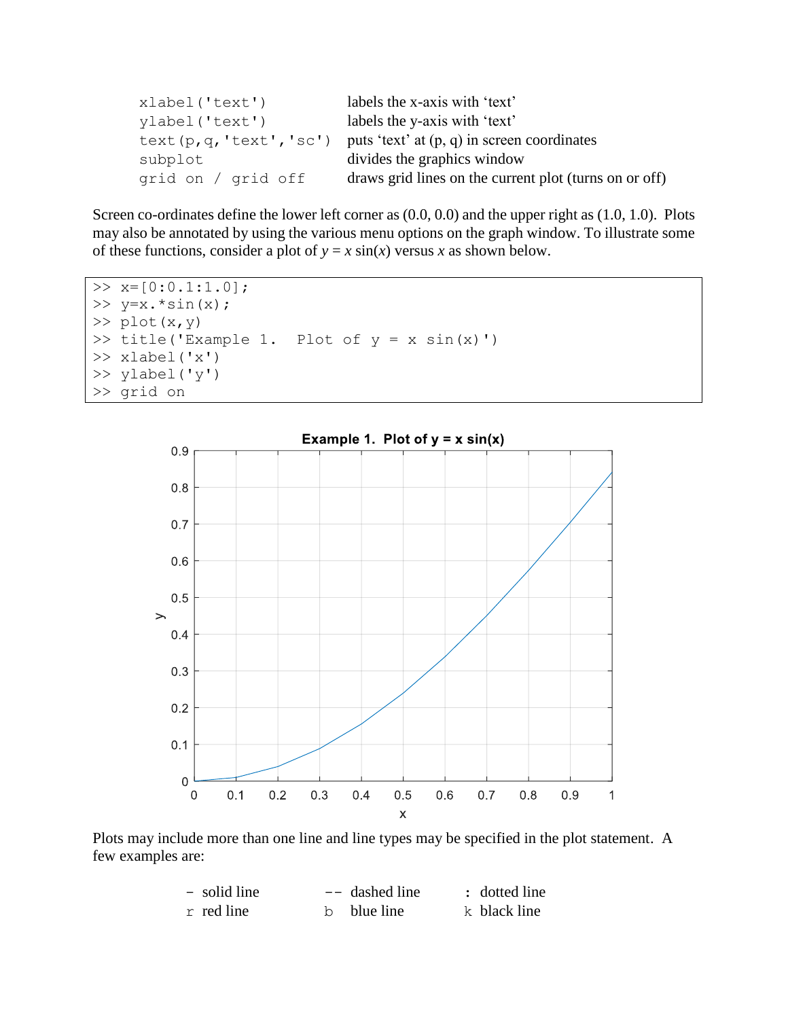| xlabel('text')     | labels the x-axis with 'text'                                             |
|--------------------|---------------------------------------------------------------------------|
| ylabel('text')     | labels the y-axis with 'text'                                             |
|                    | text $(p, q, 'text', 'sc')$ puts 'text' at $(p, q)$ in screen coordinates |
| subplot            | divides the graphics window                                               |
| grid on / grid off | draws grid lines on the current plot (turns on or off)                    |

Screen co-ordinates define the lower left corner as  $(0.0, 0.0)$  and the upper right as  $(1.0, 1.0)$ . Plots may also be annotated by using the various menu options on the graph window. To illustrate some of these functions, consider a plot of  $y = x \sin(x)$  versus *x* as shown below.

```
>> x=[0:0.1:1.0];>> y=x.*\sin(x);\gg plot(x,y)
\gg title('Example 1. Plot of y = x \sin(x)')
>> xlabel('x')
>> ylabel('y')
>> grid on
```


Plots may include more than one line and line types may be specified in the plot statement. A few examples are:

| - solid line | $--$ dashed line | : dotted line |
|--------------|------------------|---------------|
| $r$ red line | b blue line      | k black line  |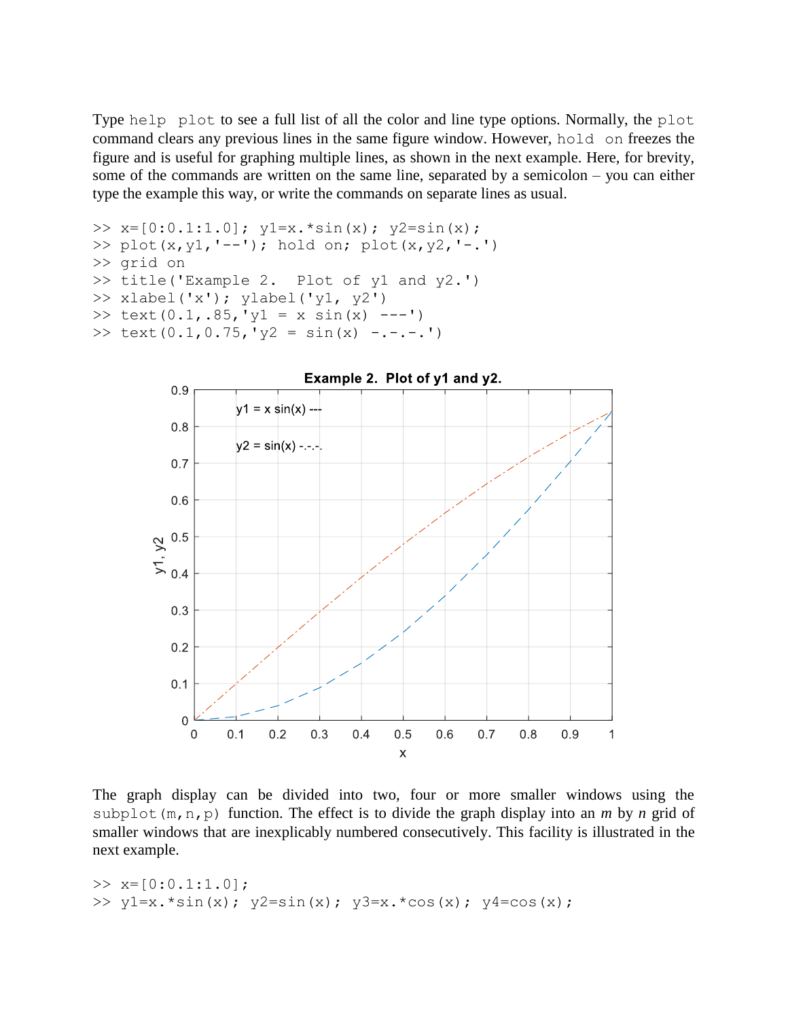Type help plot to see a full list of all the color and line type options. Normally, the plot command clears any previous lines in the same figure window. However, hold on freezes the figure and is useful for graphing multiple lines, as shown in the next example. Here, for brevity, some of the commands are written on the same line, separated by a semicolon – you can either type the example this way, or write the commands on separate lines as usual.

```
\gg x=[0:0.1:1.0]; y1=x. * sin(x); y2=sin(x);
>> plot(x,y1,'--'); hold on; plot(x,y2,'-.')
>> grid on
>> title('Example 2. Plot of y1 and y2.')
>> xlabel('x'); ylabel('y1, y2')
>> text(0.1,.85,'y1 = x sin(x) ---')
>> text(0.1,0.75,'y2 = sin(x) -.-.-.')
```


The graph display can be divided into two, four or more smaller windows using the subplot(m,n,p) function. The effect is to divide the graph display into an *m* by *n* grid of smaller windows that are inexplicably numbered consecutively. This facility is illustrated in the next example.

```
>> x=[0:0.1:1.0];>> y1=x.*sin(x); y2=sin(x); y3=x.*cos(x); y4=cos(x);
```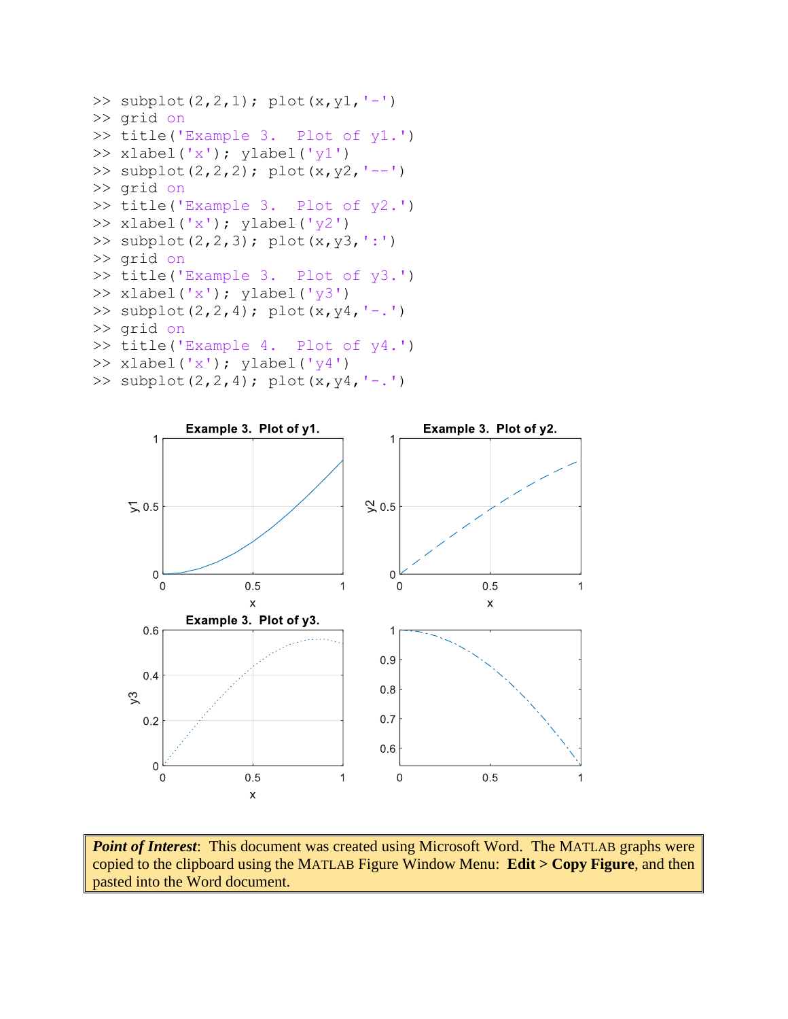```
>> subplot(2,2,1); plot(x,y1,'-')
>> grid on
>> title('Example 3. Plot of y1.')
>> xlabel('x'); ylabel('y1')
>> subplot(2,2,2); plot(x,y2,'--')
>> grid on
>> title('Example 3. Plot of y2.')
>> xlabel('x'); ylabel('y2')
>> subplot(2,2,3); plot(x,y3,':')
>> grid on
>> title('Example 3. Plot of y3.')
>> xlabel('x'); ylabel('y3')
>> subplot(2,2,4); plot(x, y4, '-.')
>> grid on
>> title('Example 4. Plot of y4.')
>> xlabel('x'); ylabel('y4')
>> subplot(2,2,4); plot(x, y4, '-.')
```


*Point of Interest*: This document was created using Microsoft Word. The MATLAB graphs were copied to the clipboard using the MATLAB Figure Window Menu: **Edit > Copy Figure**, and then pasted into the Word document.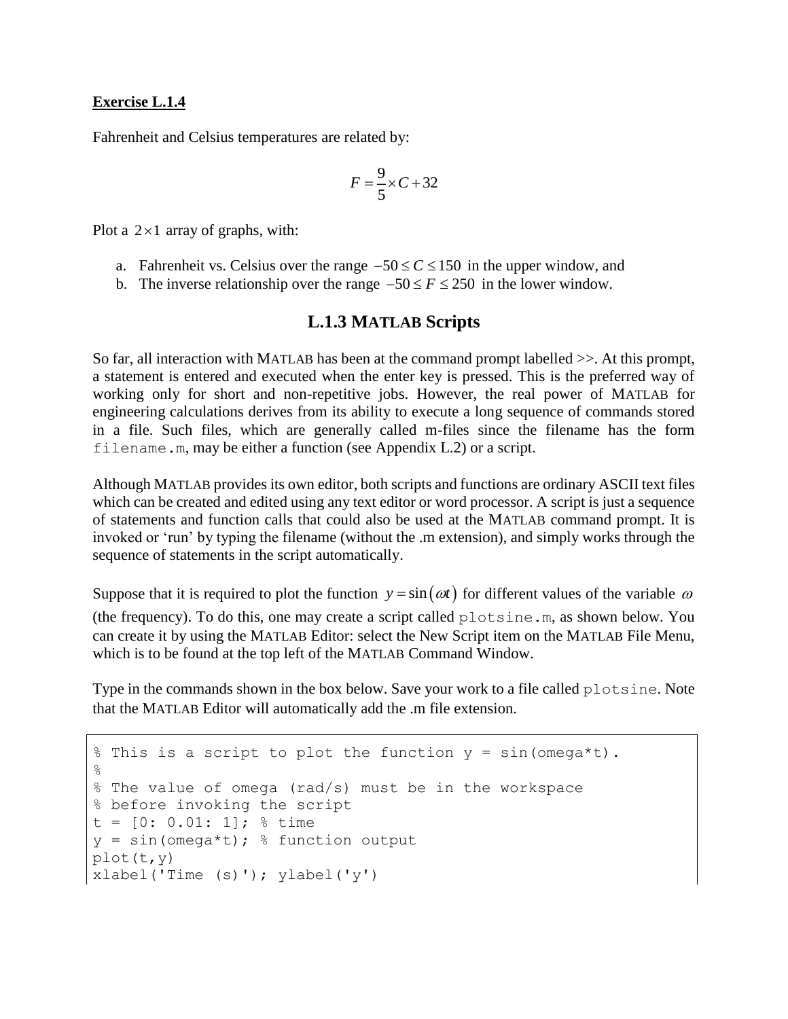#### **Exercise L.1.4**

Fahrenheit and Celsius temperatures are related by:

$$
F = \frac{9}{5} \times C + 32
$$

Plot a  $2 \times 1$  array of graphs, with:

- a. Fahrenheit vs. Celsius over the range  $-50 \le C \le 150$  in the upper window, and
- b. The inverse relationship over the range  $-50 \le F \le 250$  in the lower window.

# **L.1.3 MATLAB Scripts**

So far, all interaction with MATLAB has been at the command prompt labelled >>. At this prompt, a statement is entered and executed when the enter key is pressed. This is the preferred way of working only for short and non-repetitive jobs. However, the real power of MATLAB for engineering calculations derives from its ability to execute a long sequence of commands stored in a file. Such files, which are generally called m-files since the filename has the form filename.m, may be either a function (see Appendix L.2) or a script.

Although MATLAB provides its own editor, both scripts and functions are ordinary ASCII text files which can be created and edited using any text editor or word processor. A script is just a sequence of statements and function calls that could also be used at the MATLAB command prompt. It is invoked or 'run' by typing the filename (without the .m extension), and simply works through the sequence of statements in the script automatically.

Suppose that it is required to plot the function  $y = \sin(\omega t)$  for different values of the variable  $\omega$ (the frequency). To do this, one may create a script called plotsine.m, as shown below. You can create it by using the MATLAB Editor: select the New Script item on the MATLAB File Menu,

Type in the commands shown in the box below. Save your work to a file called plotsine. Note that the MATLAB Editor will automatically add the .m file extension.

```
% This is a script to plot the function y = sin(\omega e^{\alpha t}).
\%% The value of omega (rad/s) must be in the workspace
% before invoking the script
t = [0: 0.01: 1]; % time
y = sin(omega * t); % function output
plot(t,y)
xlabel('Time (s)'); ylabel('y')
```
which is to be found at the top left of the MATLAB Command Window.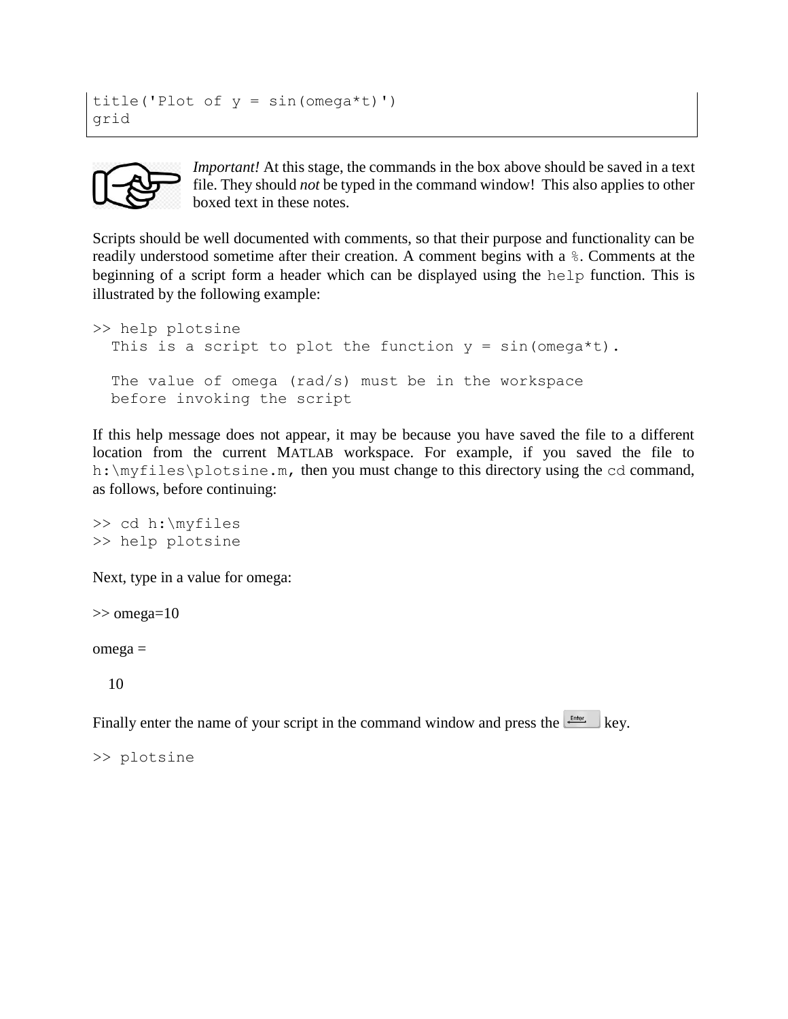```
title('Plot of y = sin(omega^*t)')
grid
```


*Important!* At this stage, the commands in the box above should be saved in a text file. They should *not* be typed in the command window! This also applies to other boxed text in these notes.

Scripts should be well documented with comments, so that their purpose and functionality can be readily understood sometime after their creation. A comment begins with a %. Comments at the beginning of a script form a header which can be displayed using the help function. This is illustrated by the following example:

```
>> help plotsine
  This is a script to plot the function y = sin(\omega \theta + i).
   The value of omega (rad/s) must be in the workspace
   before invoking the script
```
If this help message does not appear, it may be because you have saved the file to a different location from the current MATLAB workspace. For example, if you saved the file to h:\myfiles\plotsine.m, then you must change to this directory using the cd command, as follows, before continuing:

```
>> cd h:\myfiles 
>> help plotsine
```
Next, type in a value for omega:

 $\gg$  omega=10

omega =

10

Finally enter the name of your script in the command window and press the  $k$  key.

>> plotsine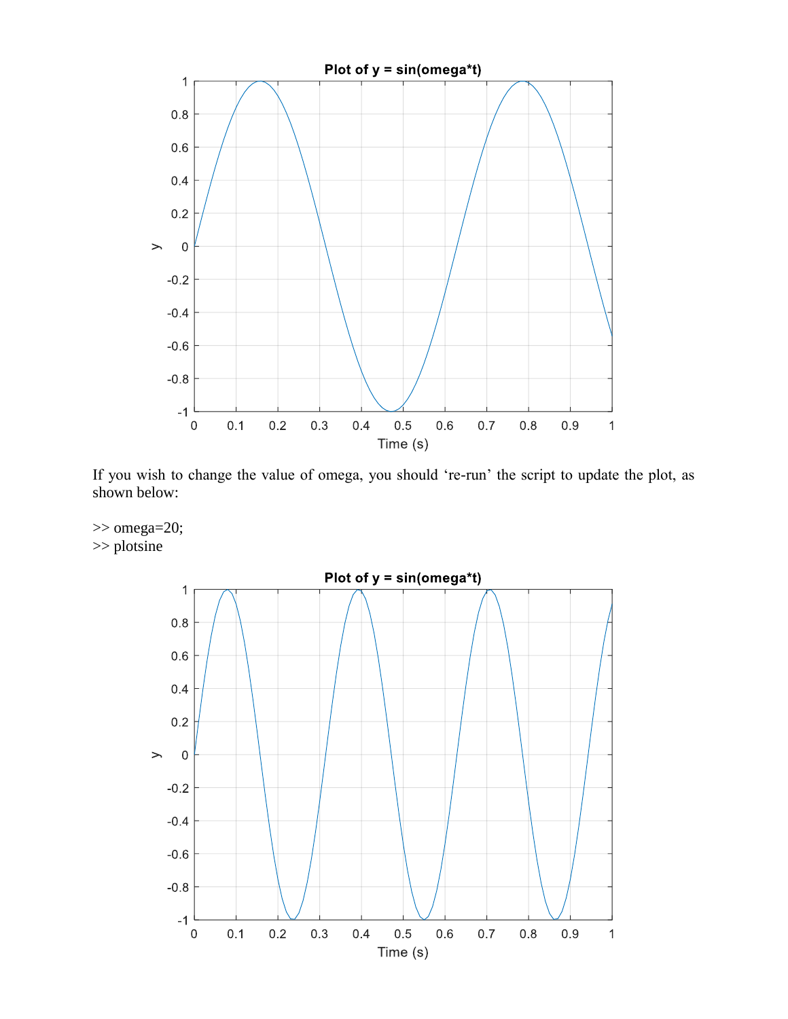

If you wish to change the value of omega, you should 're-run' the script to update the plot, as shown below:



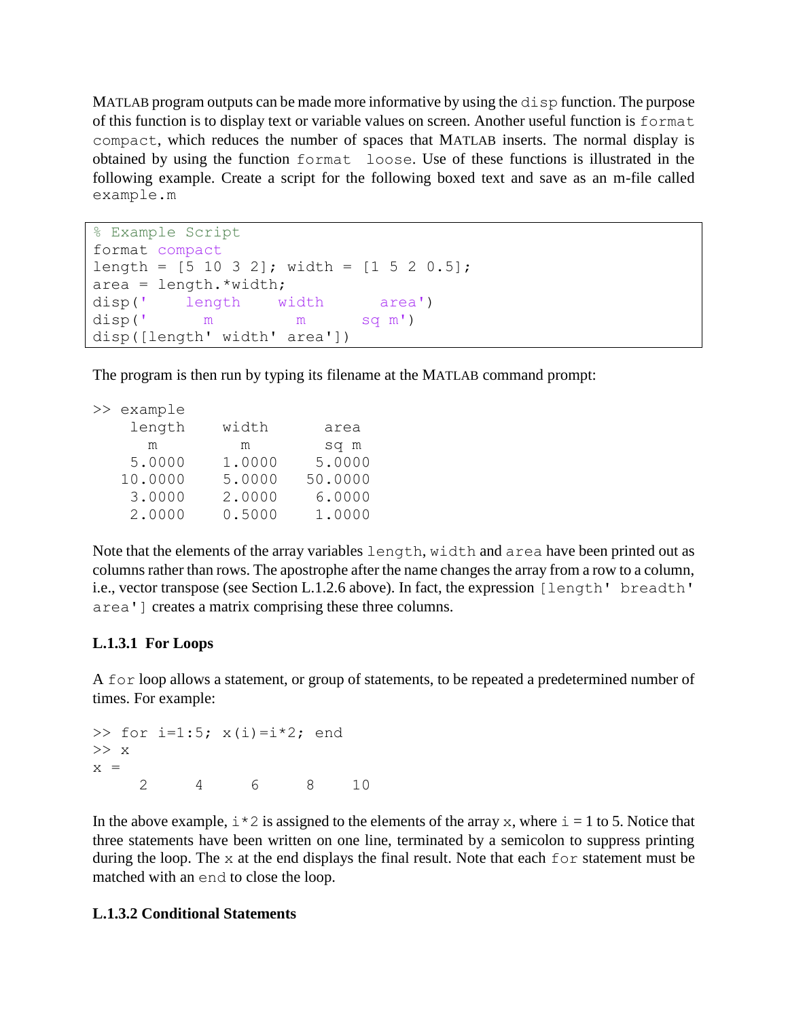MATLAB program outputs can be made more informative by using the disp function. The purpose of this function is to display text or variable values on screen. Another useful function is format compact, which reduces the number of spaces that MATLAB inserts. The normal display is obtained by using the function format loose. Use of these functions is illustrated in the following example. Create a script for the following boxed text and save as an m-file called example.m

```
% Example Script
format compact
length = [5 10 3 2]; width = [1 5 2 0.5];
area = length.*width;disp(' length width area')
disp(' m m sq m') 
disp([length' width' area'])
```
The program is then run by typing its filename at the MATLAB command prompt:

| >> example |        |         |
|------------|--------|---------|
| length     | width  | area    |
| m          | m      | sq m    |
| 5.0000     | 1.0000 | 5.0000  |
| 10.0000    | 5.0000 | 50.0000 |
| 3.0000     | 2.0000 | 6.0000  |
| 2.0000     | 0.5000 | 1.0000  |

Note that the elements of the array variables length, width and area have been printed out as columns rather than rows. The apostrophe after the name changes the array from a row to a column, i.e., vector transpose (see Section L.1.2.6 above). In fact, the expression [length' breadth' area'] creates a matrix comprising these three columns.

## **L.1.3.1 For Loops**

A for loop allows a statement, or group of statements, to be repeated a predetermined number of times. For example:

```
>> for i=1:5; x(i) = i \times 2; end
>> x
x = 2 4 6 8 10
```
In the above example,  $i \times 2$  is assigned to the elements of the array x, where  $i = 1$  to 5. Notice that three statements have been written on one line, terminated by a semicolon to suppress printing during the loop. The  $\times$  at the end displays the final result. Note that each for statement must be matched with an end to close the loop.

## **L.1.3.2 Conditional Statements**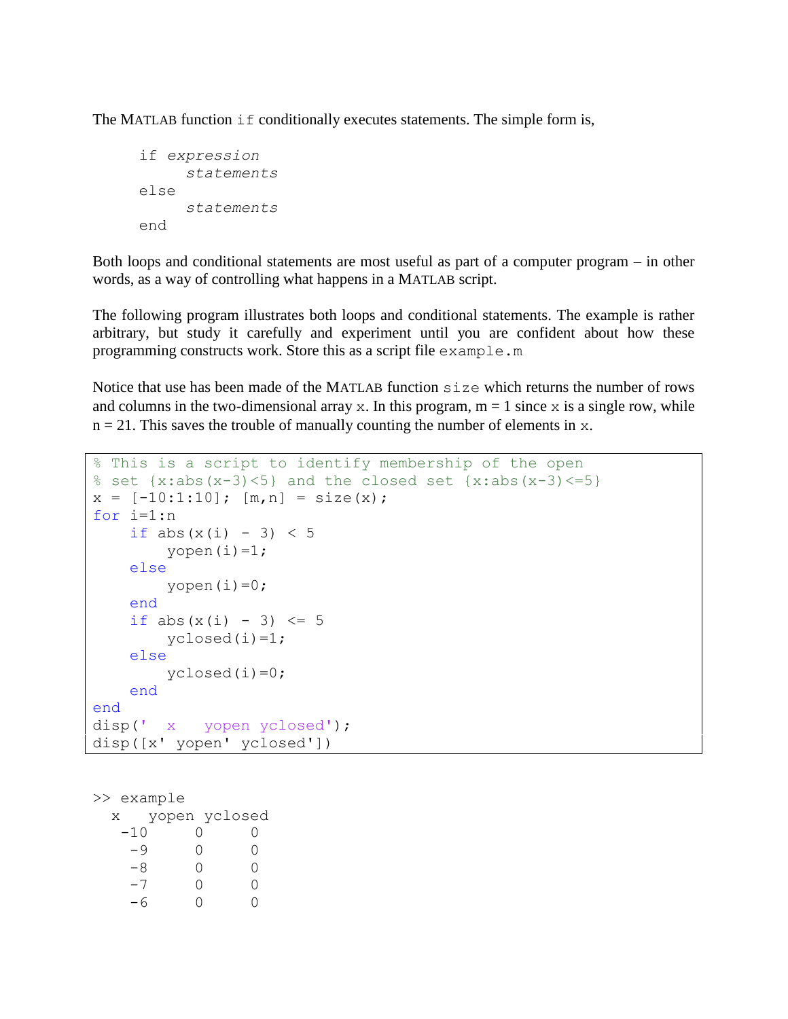The MATLAB function if conditionally executes statements. The simple form is,

```
if expression
     statements
else
     statements
end
```
Both loops and conditional statements are most useful as part of a computer program – in other words, as a way of controlling what happens in a MATLAB script.

The following program illustrates both loops and conditional statements. The example is rather arbitrary, but study it carefully and experiment until you are confident about how these programming constructs work. Store this as a script file example.m

Notice that use has been made of the MATLAB function size which returns the number of rows and columns in the two-dimensional array x. In this program,  $m = 1$  since x is a single row, while  $n = 21$ . This saves the trouble of manually counting the number of elements in x.

```
% This is a script to identify membership of the open
% set \{x:abs(x-3) \leq 5\} and the closed set \{x:abs(x-3) \leq 5\}x = [-10:1:10]; [m, n] = size(x);for i=1:n
    if abs(x(i) - 3) < 5yopen(i)=1; else
        yopen(i)=0; end
    if abs(x(i) - 3) \le 5yclosed(i)=1; else
        yclosed(i)=0; end
end
disp(' x yopen yclosed');
disp([x' yopen' yclosed'])
```
>> example x yopen yclosed  $-10$  0 0  $-9$  0 0  $-8$  0 0 -7 0 0  $-6$  0 0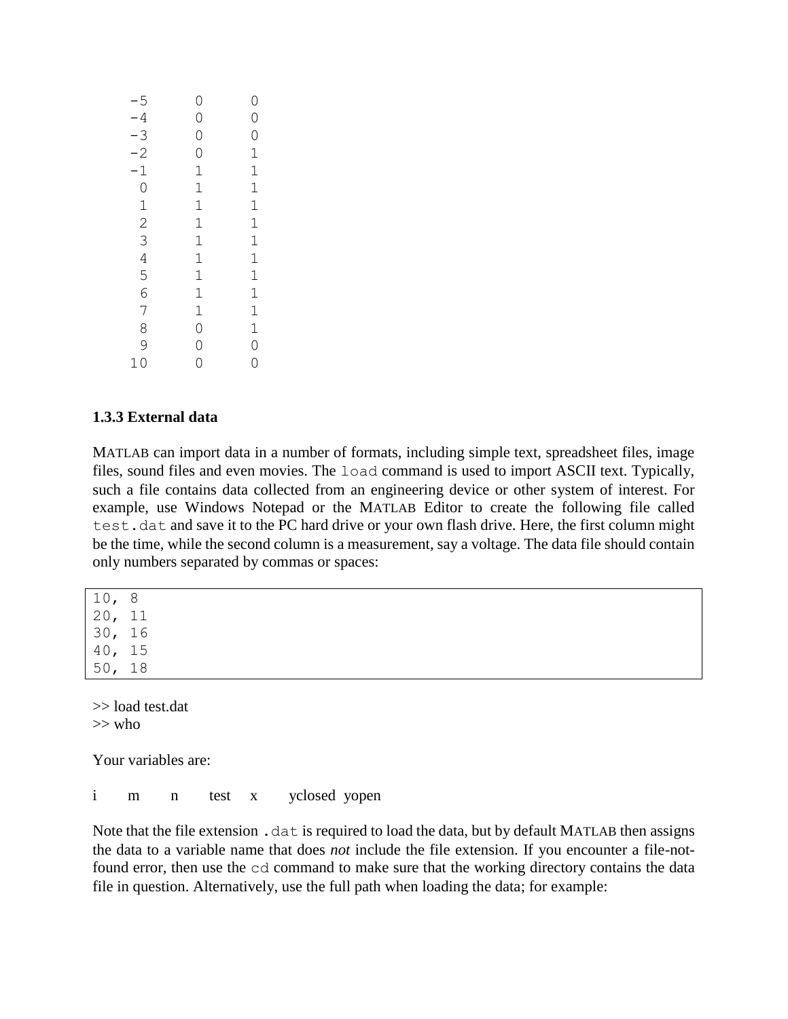| $-5$                                  | 0                                            | 0              |
|---------------------------------------|----------------------------------------------|----------------|
| $-4$                                  | $\circ$                                      | $\circ$        |
|                                       | $\circ$                                      |                |
| $-3$ $-2$ $1$ 0 $1$ 2 $3$ 4 5 6 7 8 9 | $\overline{0}$                               |                |
|                                       | $\mathbf{1}$                                 |                |
|                                       |                                              |                |
|                                       | $\frac{1}{1}$                                |                |
|                                       | $\mathbf{1}$                                 |                |
|                                       | $\begin{array}{c}\n1 \\ 1 \\ 1\n\end{array}$ |                |
|                                       |                                              |                |
|                                       |                                              |                |
|                                       |                                              |                |
|                                       |                                              |                |
|                                       |                                              |                |
|                                       | $\begin{array}{c} 1 \\ 0 \\ 0 \end{array}$   | 01111111111100 |
| 10                                    | $\overline{O}$                               |                |

## **1.3.3 External data**

MATLAB can import data in a number of formats, including simple text, spreadsheet files, image files, sound files and even movies. The load command is used to import ASCII text. Typically, such a file contains data collected from an engineering device or other system of interest. For example, use Windows Notepad or the MATLAB Editor to create the following file called test.dat and save it to the PC hard drive or your own flash drive. Here, the first column might be the time, while the second column is a measurement, say a voltage. The data file should contain only numbers separated by commas or spaces:

10, 8 20, 11 30, 16 40, 15 50, 18

>> load test.dat  $>>$  who

Your variables are:

i m n test x yclosed yopen

Note that the file extension.  $\det$  is required to load the data, but by default MATLAB then assigns the data to a variable name that does *not* include the file extension. If you encounter a file-notfound error, then use the cd command to make sure that the working directory contains the data file in question. Alternatively, use the full path when loading the data; for example: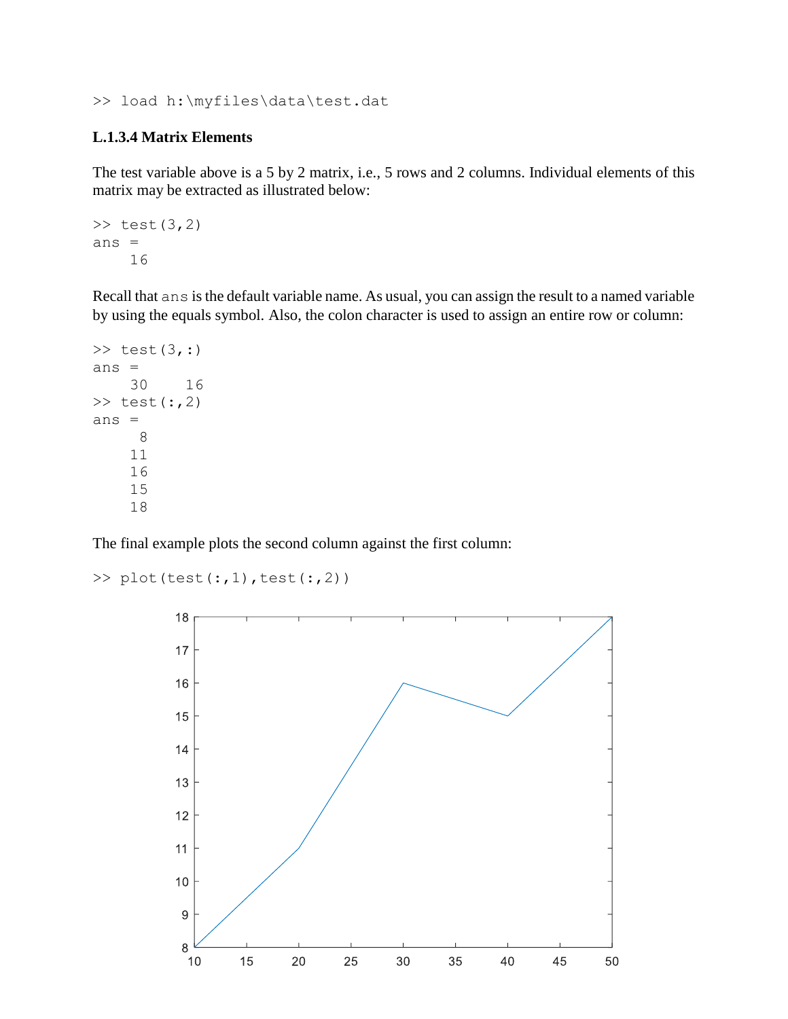>> load h:\myfiles\data\test.dat

#### **L.1.3.4 Matrix Elements**

The test variable above is a 5 by 2 matrix, i.e., 5 rows and 2 columns. Individual elements of this matrix may be extracted as illustrated below:

```
\gg test(3,2)
ans =
     16
```
Recall that ans is the default variable name. As usual, you can assign the result to a named variable by using the equals symbol. Also, the colon character is used to assign an entire row or column:

```
\gg test(3, :)
ans = 30 16
\gg test(:,2)
ans =
       8
     11
     16
     15
     18
```
The final example plots the second column against the first column:

```
\gg plot(test(:,1),test(:,2))
```